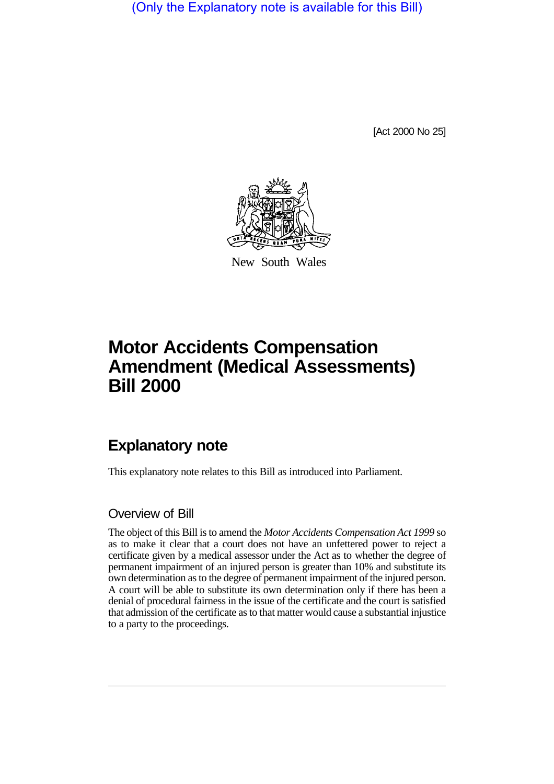(Only the Explanatory note is available for this Bill)

[Act 2000 No 25]



New South Wales

# **Motor Accidents Compensation Amendment (Medical Assessments) Bill 2000**

## **Explanatory note**

This explanatory note relates to this Bill as introduced into Parliament.

#### Overview of Bill

The object of this Bill is to amend the *Motor Accidents Compensation Act 1999* so as to make it clear that a court does not have an unfettered power to reject a certificate given by a medical assessor under the Act as to whether the degree of permanent impairment of an injured person is greater than 10% and substitute its own determination as to the degree of permanent impairment of the injured person. A court will be able to substitute its own determination only if there has been a denial of procedural fairness in the issue of the certificate and the court is satisfied that admission of the certificate as to that matter would cause a substantial injustice to a party to the proceedings.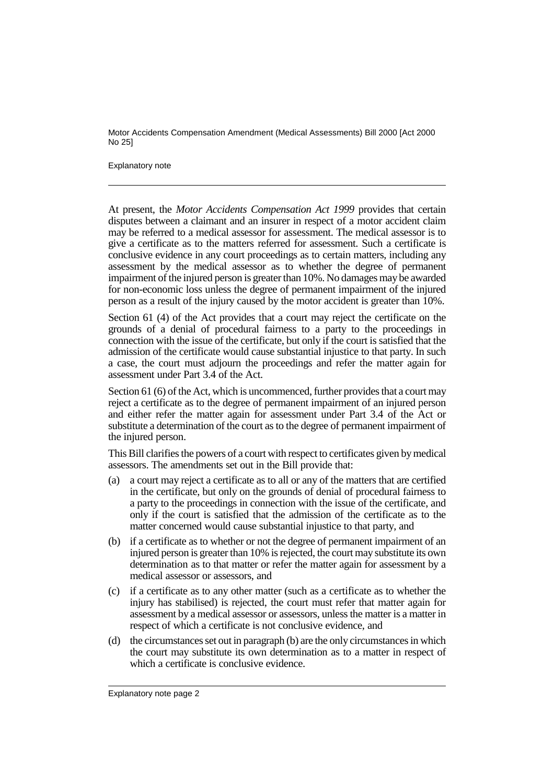Motor Accidents Compensation Amendment (Medical Assessments) Bill 2000 [Act 2000 No 25]

#### Explanatory note

At present, the *Motor Accidents Compensation Act 1999* provides that certain disputes between a claimant and an insurer in respect of a motor accident claim may be referred to a medical assessor for assessment. The medical assessor is to give a certificate as to the matters referred for assessment. Such a certificate is conclusive evidence in any court proceedings as to certain matters, including any assessment by the medical assessor as to whether the degree of permanent impairment of the injured person is greater than 10%. No damages may be awarded for non-economic loss unless the degree of permanent impairment of the injured person as a result of the injury caused by the motor accident is greater than 10%.

Section 61 (4) of the Act provides that a court may reject the certificate on the grounds of a denial of procedural fairness to a party to the proceedings in connection with the issue of the certificate, but only if the court is satisfied that the admission of the certificate would cause substantial injustice to that party. In such a case, the court must adjourn the proceedings and refer the matter again for assessment under Part 3.4 of the Act.

Section 61 (6) of the Act, which is uncommenced, further provides that a court may reject a certificate as to the degree of permanent impairment of an injured person and either refer the matter again for assessment under Part 3.4 of the Act or substitute a determination of the court as to the degree of permanent impairment of the injured person.

This Bill clarifies the powers of a court with respect to certificates given by medical assessors. The amendments set out in the Bill provide that:

- (a) a court may reject a certificate as to all or any of the matters that are certified in the certificate, but only on the grounds of denial of procedural fairness to a party to the proceedings in connection with the issue of the certificate, and only if the court is satisfied that the admission of the certificate as to the matter concerned would cause substantial injustice to that party, and
- (b) if a certificate as to whether or not the degree of permanent impairment of an injured person is greater than 10% is rejected, the court may substitute its own determination as to that matter or refer the matter again for assessment by a medical assessor or assessors, and
- (c) if a certificate as to any other matter (such as a certificate as to whether the injury has stabilised) is rejected, the court must refer that matter again for assessment by a medical assessor or assessors, unless the matter is a matter in respect of which a certificate is not conclusive evidence, and
- (d) the circumstances set out in paragraph (b) are the only circumstances in which the court may substitute its own determination as to a matter in respect of which a certificate is conclusive evidence.

Explanatory note page 2